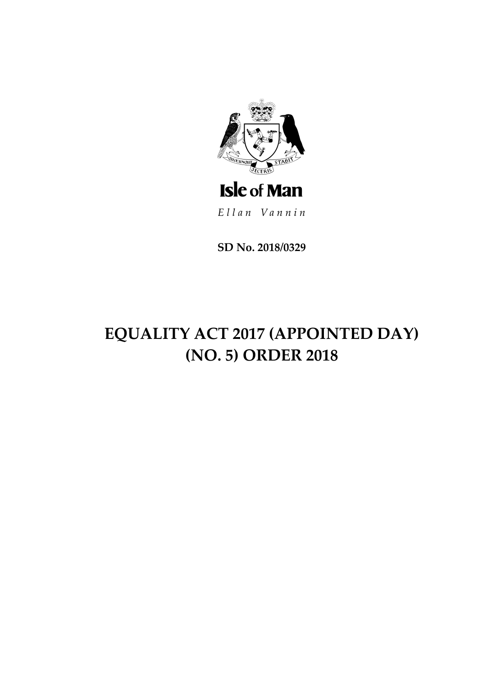

**SD No. 2018/0329**

# **EQUALITY ACT 2017 (APPOINTED DAY) (NO. 5) ORDER 2018**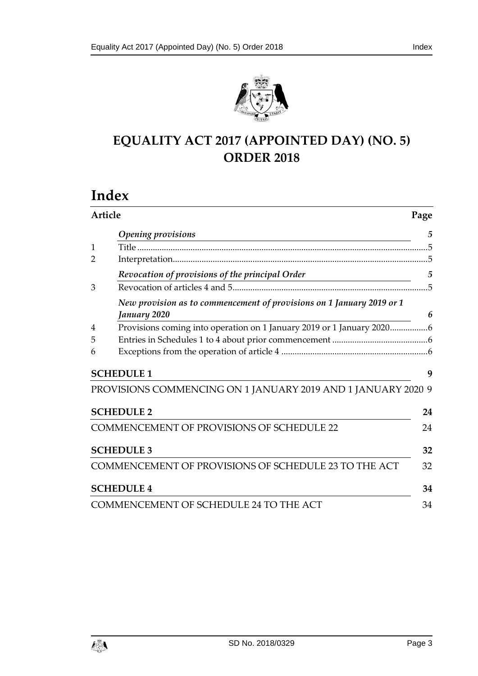

# **EQUALITY ACT 2017 (APPOINTED DAY) (NO. 5) ORDER 2018**

# **Index**

| Article        |                                                                                            | Page           |
|----------------|--------------------------------------------------------------------------------------------|----------------|
|                | <b>Opening provisions</b><br><u> 1989 - Johann Stein, mars an deutscher Stein († 1989)</u> | 5              |
| $\mathbf{1}$   |                                                                                            |                |
| 2              |                                                                                            |                |
|                | Revocation of provisions of the principal Order                                            | $\overline{5}$ |
| 3              |                                                                                            |                |
|                | New provision as to commencement of provisions on 1 January 2019 or 1                      |                |
|                | January 2020                                                                               | 6              |
| $\overline{4}$ | Provisions coming into operation on 1 January 2019 or 1 January 20206                      |                |
| 5              |                                                                                            |                |
| 6              |                                                                                            |                |
|                | <b>SCHEDULE 1</b>                                                                          | 9              |
|                | PROVISIONS COMMENCING ON 1 JANUARY 2019 AND 1 JANUARY 2020 9                               |                |
|                | <b>SCHEDULE 2</b>                                                                          | 24             |
|                | <b>COMMENCEMENT OF PROVISIONS OF SCHEDULE 22</b>                                           | 24             |
|                | <b>SCHEDULE 3</b>                                                                          | 32             |
|                | COMMENCEMENT OF PROVISIONS OF SCHEDULE 23 TO THE ACT                                       | 32             |
|                | <b>SCHEDULE 4</b>                                                                          | 34             |
|                | COMMENCEMENT OF SCHEDULE 24 TO THE ACT                                                     | 34             |

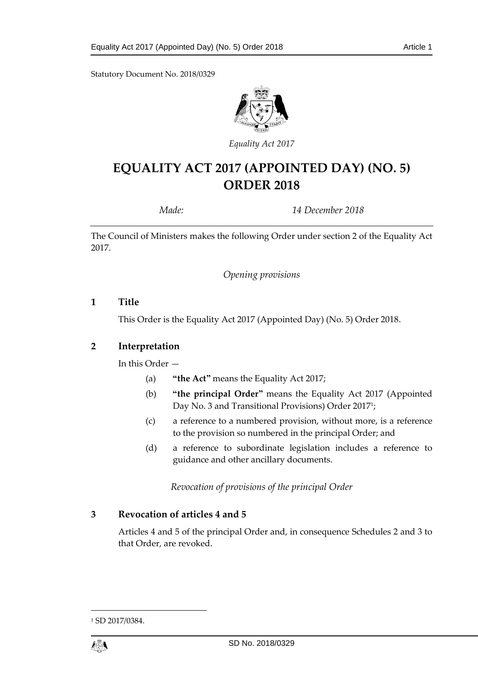Statutory Document No. 2018/0329



*Equality Act 2017*

# **EQUALITY ACT 2017 (APPOINTED DAY) (NO. 5) ORDER 2018**

*Made: 14 December 2018*

<span id="page-4-0"></span>The Council of Ministers makes the following Order under section 2 of the Equality Act 2017.

*Opening provisions*

#### <span id="page-4-1"></span>**1 Title**

This Order is the Equality Act 2017 (Appointed Day) (No. 5) Order 2018.

#### <span id="page-4-2"></span>**2 Interpretation**

In this Order —

- (a) **"the Act"** means the Equality Act 2017;
- (b) **"the principal Order"** means the Equality Act 2017 (Appointed Day No. 3 and Transitional Provisions) Order 2017<sup>1</sup> ;
- (c) a reference to a numbered provision, without more, is a reference to the provision so numbered in the principal Order; and
- (d) a reference to subordinate legislation includes a reference to guidance and other ancillary documents.

*Revocation of provisions of the principal Order*

#### <span id="page-4-4"></span><span id="page-4-3"></span>**3 Revocation of articles 4 and 5**

Articles 4 and 5 of the principal Order and, in consequence Schedules 2 and 3 to that Order, are revoked.

<sup>1</sup> SD 2017/0384.

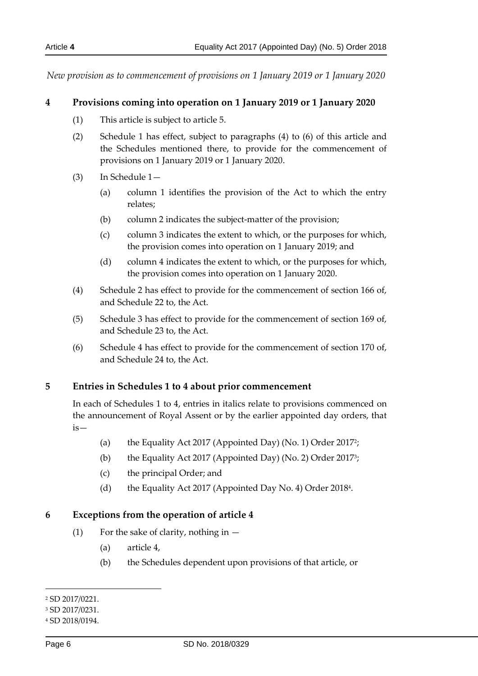<span id="page-5-1"></span><span id="page-5-0"></span>*New provision as to commencement of provisions on 1 January 2019 or 1 January 2020*

#### <span id="page-5-4"></span>**4 Provisions coming into operation on 1 January 2019 or 1 January 2020**

- (1) This article is subject to article 5.
- <span id="page-5-5"></span>(2) Schedule 1 has effect, subject to paragraphs (4) to (6) of this article and the Schedules mentioned there, to provide for the commencement of provisions on 1 January 2019 or 1 January 2020.
- (3) In Schedule 1—
	- (a) column 1 identifies the provision of the Act to which the entry relates;
	- (b) column 2 indicates the subject-matter of the provision;
	- (c) column 3 indicates the extent to which, or the purposes for which, the provision comes into operation on 1 January 2019; and
	- (d) column 4 indicates the extent to which, or the purposes for which, the provision comes into operation on 1 January 2020.
- (4) Schedule 2 has effect to provide for the commencement of section 166 of, and Schedule 22 to, the Act.
- (5) Schedule 3 has effect to provide for the commencement of section 169 of, and Schedule 23 to, the Act.
- (6) Schedule 4 has effect to provide for the commencement of section 170 of, and Schedule 24 to, the Act.

#### <span id="page-5-2"></span>**5 Entries in Schedules 1 to 4 about prior commencement**

In each of Schedules 1 to 4, entries in italics relate to provisions commenced on the announcement of Royal Assent or by the earlier appointed day orders, that is—

- (a) the Equality Act 2017 (Appointed Day) (No. 1) Order 2017<sup>2</sup> ;
- (b) the Equality Act 2017 (Appointed Day) (No. 2) Order 2017<sup>3</sup>;
- (c) the principal Order; and
- (d) the Equality Act 2017 (Appointed Day No. 4) Order 2018<sup>4</sup> .

#### <span id="page-5-3"></span>**6 Exceptions from the operation of article 4**

- (1) For the sake of clarity, nothing in  $-$ 
	- (a) article 4,
	- (b) the Schedules dependent upon provisions of that article, or

-

<sup>2</sup> SD 2017/0221.

<sup>3</sup> SD 2017/0231.

<sup>4</sup> SD 2018/0194.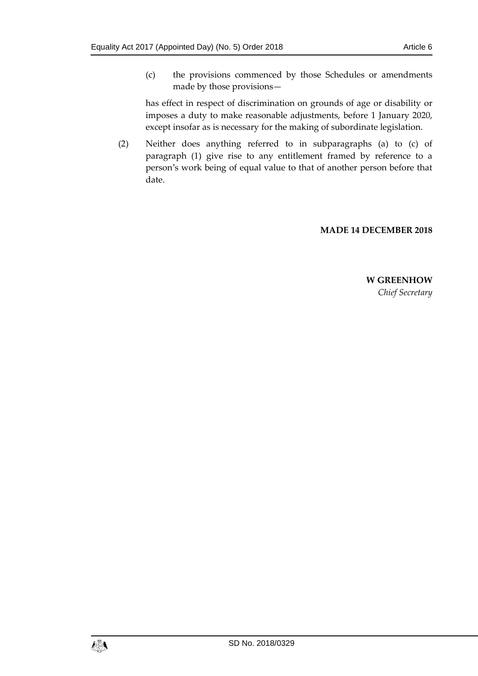(c) the provisions commenced by those Schedules or amendments made by those provisions—

has effect in respect of discrimination on grounds of age or disability or imposes a duty to make reasonable adjustments, before 1 January 2020, except insofar as is necessary for the making of subordinate legislation.

(2) Neither does anything referred to in subparagraphs (a) to (c) of paragraph (1) give rise to any entitlement framed by reference to a person's work being of equal value to that of another person before that date.

#### **MADE 14 DECEMBER 2018**

**W GREENHOW** *Chief Secretary*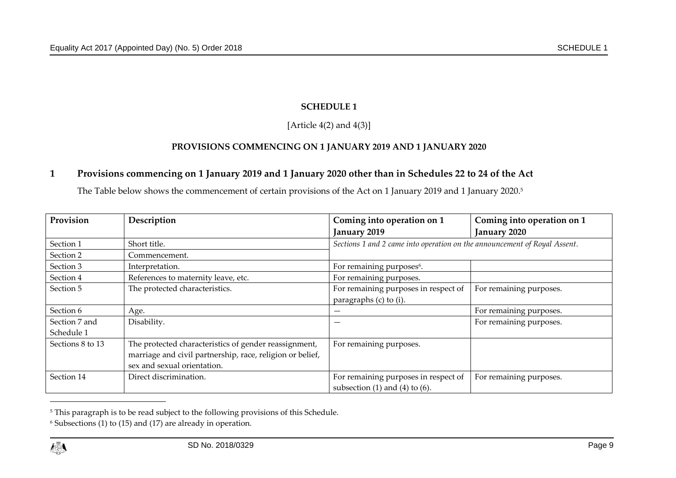# **SCHEDULE 1**

# [Article  $4(2)$  and  $4(3)$ ]

# **PROVISIONS COMMENCING ON 1 JANUARY 2019 AND 1 JANUARY 2020**

## **1 Provisions commencing on 1 January 2019 and 1 January 2020 other than in Schedules 22 to 24 of the Act**

The Table below shows the commencement of certain provisions of the Act on 1 January 2019 and 1 January 2020. 5

<span id="page-8-0"></span>

| Provision        | Description                                               | Coming into operation on 1                                                | Coming into operation on 1 |
|------------------|-----------------------------------------------------------|---------------------------------------------------------------------------|----------------------------|
|                  |                                                           | January 2019                                                              | January 2020               |
| Section 1        | Short title.                                              | Sections 1 and 2 came into operation on the announcement of Royal Assent. |                            |
| Section 2        | Commencement.                                             |                                                                           |                            |
| Section 3        | Interpretation.                                           | For remaining purposes <sup>6</sup> .                                     |                            |
| Section 4        | References to maternity leave, etc.                       | For remaining purposes.                                                   |                            |
| Section 5        | The protected characteristics.                            | For remaining purposes in respect of                                      | For remaining purposes.    |
|                  |                                                           | paragraphs (c) to (i).                                                    |                            |
| Section 6        | Age.                                                      |                                                                           | For remaining purposes.    |
| Section 7 and    | Disability.                                               |                                                                           | For remaining purposes.    |
| Schedule 1       |                                                           |                                                                           |                            |
| Sections 8 to 13 | The protected characteristics of gender reassignment,     | For remaining purposes.                                                   |                            |
|                  | marriage and civil partnership, race, religion or belief, |                                                                           |                            |
|                  | sex and sexual orientation.                               |                                                                           |                            |
| Section 14       | Direct discrimination.                                    | For remaining purposes in respect of                                      | For remaining purposes.    |
|                  |                                                           | subsection $(1)$ and $(4)$ to $(6)$ .                                     |                            |

<span id="page-8-1"></span><sup>&</sup>lt;sup>5</sup> This paragraph is to be read subject to the following provisions of this Schedule.

<sup>6</sup> Subsections (1) to (15) and (17) are already in operation.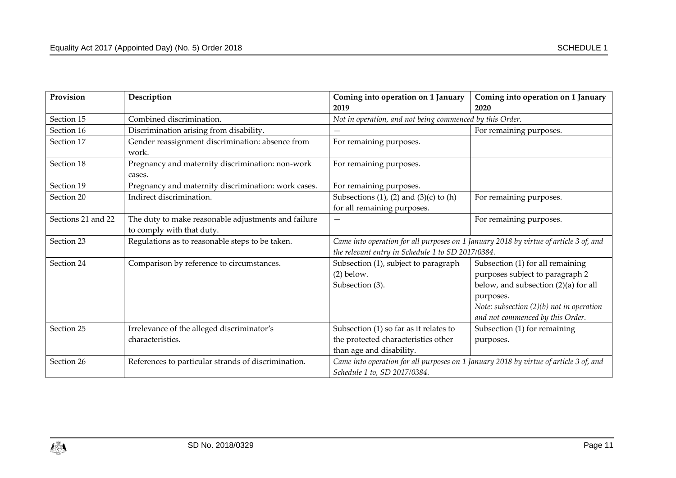| Provision          | Description                                                                      | Coming into operation on 1 January                                                                                                         | Coming into operation on 1 January                                                                                                                                                                         |
|--------------------|----------------------------------------------------------------------------------|--------------------------------------------------------------------------------------------------------------------------------------------|------------------------------------------------------------------------------------------------------------------------------------------------------------------------------------------------------------|
|                    |                                                                                  | 2019                                                                                                                                       | 2020                                                                                                                                                                                                       |
| Section 15         | Combined discrimination.                                                         | Not in operation, and not being commenced by this Order.                                                                                   |                                                                                                                                                                                                            |
| Section 16         | Discrimination arising from disability.                                          |                                                                                                                                            | For remaining purposes.                                                                                                                                                                                    |
| Section 17         | Gender reassignment discrimination: absence from<br>work.                        | For remaining purposes.                                                                                                                    |                                                                                                                                                                                                            |
| Section 18         | Pregnancy and maternity discrimination: non-work<br>cases.                       | For remaining purposes.                                                                                                                    |                                                                                                                                                                                                            |
| Section 19         | Pregnancy and maternity discrimination: work cases.                              | For remaining purposes.                                                                                                                    |                                                                                                                                                                                                            |
| Section 20         | Indirect discrimination.                                                         | Subsections $(1)$ , $(2)$ and $(3)(c)$ to $(h)$<br>for all remaining purposes.                                                             | For remaining purposes.                                                                                                                                                                                    |
| Sections 21 and 22 | The duty to make reasonable adjustments and failure<br>to comply with that duty. |                                                                                                                                            | For remaining purposes.                                                                                                                                                                                    |
| Section 23         | Regulations as to reasonable steps to be taken.                                  | Came into operation for all purposes on 1 January 2018 by virtue of article 3 of, and<br>the relevant entry in Schedule 1 to SD 2017/0384. |                                                                                                                                                                                                            |
| Section 24         | Comparison by reference to circumstances.                                        | Subsection (1), subject to paragraph<br>$(2)$ below.<br>Subsection (3).                                                                    | Subsection (1) for all remaining<br>purposes subject to paragraph 2<br>below, and subsection (2)(a) for all<br>purposes.<br>Note: subsection $(2)(b)$ not in operation<br>and not commenced by this Order. |
| Section 25         | Irrelevance of the alleged discriminator's<br>characteristics.                   | Subsection $(1)$ so far as it relates to<br>the protected characteristics other<br>than age and disability.                                | Subsection (1) for remaining<br>purposes.                                                                                                                                                                  |
| Section 26         | References to particular strands of discrimination.                              | Schedule 1 to, SD 2017/0384.                                                                                                               | Came into operation for all purposes on 1 January 2018 by virtue of article 3 of, and                                                                                                                      |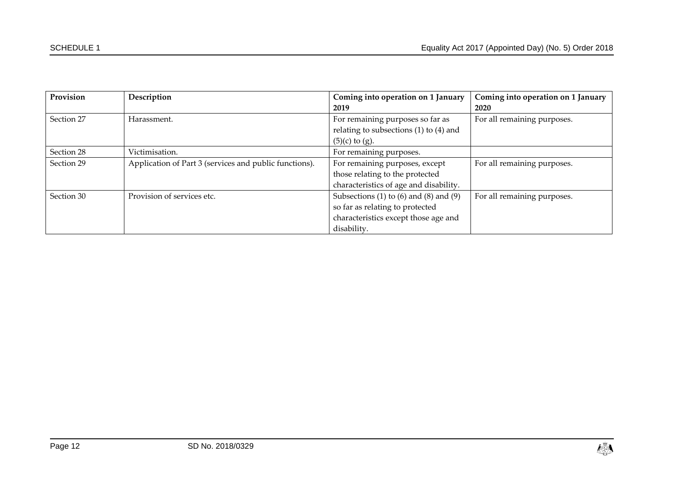| Provision  | Description                                            | Coming into operation on 1 January           | Coming into operation on 1 January |
|------------|--------------------------------------------------------|----------------------------------------------|------------------------------------|
|            |                                                        | 2019                                         | 2020                               |
| Section 27 | Harassment.                                            | For remaining purposes so far as             | For all remaining purposes.        |
|            |                                                        | relating to subsections $(1)$ to $(4)$ and   |                                    |
|            |                                                        | $(5)(c)$ to $(g)$ .                          |                                    |
| Section 28 | Victimisation.                                         | For remaining purposes.                      |                                    |
| Section 29 | Application of Part 3 (services and public functions). | For remaining purposes, except               | For all remaining purposes.        |
|            |                                                        | those relating to the protected              |                                    |
|            |                                                        | characteristics of age and disability.       |                                    |
| Section 30 | Provision of services etc.                             | Subsections (1) to $(6)$ and $(8)$ and $(9)$ | For all remaining purposes.        |
|            |                                                        | so far as relating to protected              |                                    |
|            |                                                        | characteristics except those age and         |                                    |
|            |                                                        | disability.                                  |                                    |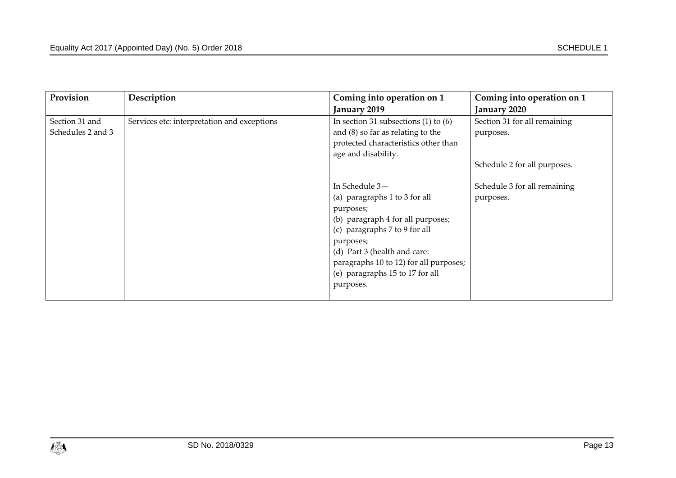| Provision         | Description                                 | Coming into operation on 1               | Coming into operation on 1   |
|-------------------|---------------------------------------------|------------------------------------------|------------------------------|
|                   |                                             | January 2019                             | January 2020                 |
| Section 31 and    | Services etc: interpretation and exceptions | In section 31 subsections $(1)$ to $(6)$ | Section 31 for all remaining |
| Schedules 2 and 3 |                                             | and $(8)$ so far as relating to the      | purposes.                    |
|                   |                                             | protected characteristics other than     |                              |
|                   |                                             | age and disability.                      |                              |
|                   |                                             |                                          | Schedule 2 for all purposes. |
|                   |                                             |                                          |                              |
|                   |                                             | In Schedule 3-                           | Schedule 3 for all remaining |
|                   |                                             | (a) paragraphs 1 to 3 for all            | purposes.                    |
|                   |                                             | purposes;                                |                              |
|                   |                                             | (b) paragraph 4 for all purposes;        |                              |
|                   |                                             | (c) paragraphs 7 to 9 for all            |                              |
|                   |                                             | purposes;                                |                              |
|                   |                                             | (d) Part 3 (health and care:             |                              |
|                   |                                             | paragraphs 10 to 12) for all purposes;   |                              |
|                   |                                             | (e) paragraphs 15 to 17 for all          |                              |
|                   |                                             | purposes.                                |                              |
|                   |                                             |                                          |                              |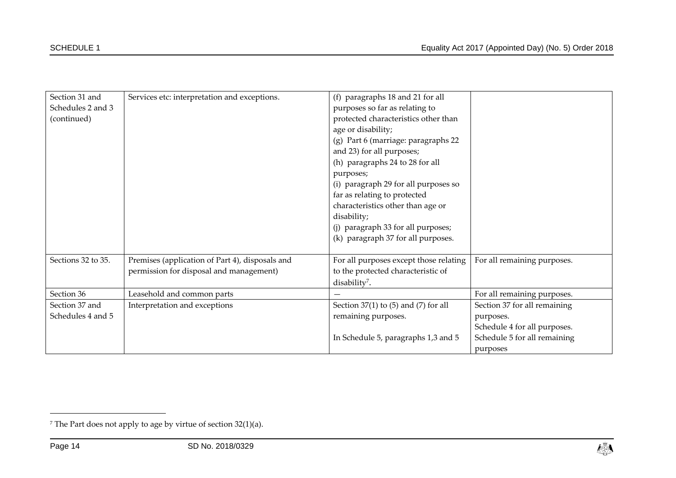| Section 31 and     | Services etc: interpretation and exceptions.    | (f) paragraphs 18 and 21 for all           |                              |
|--------------------|-------------------------------------------------|--------------------------------------------|------------------------------|
| Schedules 2 and 3  |                                                 | purposes so far as relating to             |                              |
| (continued)        |                                                 | protected characteristics other than       |                              |
|                    |                                                 | age or disability;                         |                              |
|                    |                                                 | (g) Part 6 (marriage: paragraphs 22        |                              |
|                    |                                                 | and 23) for all purposes;                  |                              |
|                    |                                                 | (h) paragraphs 24 to 28 for all            |                              |
|                    |                                                 | purposes;                                  |                              |
|                    |                                                 | (i) paragraph 29 for all purposes so       |                              |
|                    |                                                 | far as relating to protected               |                              |
|                    |                                                 | characteristics other than age or          |                              |
|                    |                                                 | disability;                                |                              |
|                    |                                                 | (j) paragraph 33 for all purposes;         |                              |
|                    |                                                 | (k) paragraph 37 for all purposes.         |                              |
|                    |                                                 |                                            |                              |
| Sections 32 to 35. | Premises (application of Part 4), disposals and | For all purposes except those relating     | For all remaining purposes.  |
|                    | permission for disposal and management)         | to the protected characteristic of         |                              |
|                    |                                                 | disability <sup>7</sup> .                  |                              |
| Section 36         | Leasehold and common parts                      |                                            | For all remaining purposes.  |
| Section 37 and     | Interpretation and exceptions                   | Section $37(1)$ to $(5)$ and $(7)$ for all | Section 37 for all remaining |
| Schedules 4 and 5  |                                                 | remaining purposes.                        | purposes.                    |
|                    |                                                 |                                            | Schedule 4 for all purposes. |
|                    |                                                 | In Schedule 5, paragraphs 1,3 and 5        | Schedule 5 for all remaining |
|                    |                                                 |                                            | purposes                     |

<sup>7</sup> The Part does not apply to age by virtue of section 32(1)(a).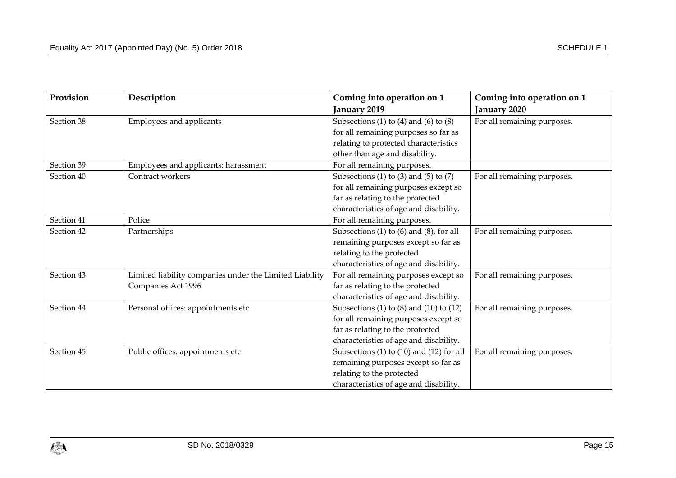| Provision  | Description                                             | Coming into operation on 1                     | Coming into operation on 1  |
|------------|---------------------------------------------------------|------------------------------------------------|-----------------------------|
|            |                                                         | January 2019                                   | January 2020                |
| Section 38 | Employees and applicants                                | Subsections (1) to (4) and (6) to (8)          | For all remaining purposes. |
|            |                                                         | for all remaining purposes so far as           |                             |
|            |                                                         | relating to protected characteristics          |                             |
|            |                                                         | other than age and disability.                 |                             |
| Section 39 | Employees and applicants: harassment                    | For all remaining purposes.                    |                             |
| Section 40 | Contract workers                                        | Subsections (1) to (3) and (5) to (7)          | For all remaining purposes. |
|            |                                                         | for all remaining purposes except so           |                             |
|            |                                                         | far as relating to the protected               |                             |
|            |                                                         | characteristics of age and disability.         |                             |
| Section 41 | Police                                                  | For all remaining purposes.                    |                             |
| Section 42 | Partnerships                                            | Subsections (1) to (6) and (8), for all        | For all remaining purposes. |
|            |                                                         | remaining purposes except so far as            |                             |
|            |                                                         | relating to the protected                      |                             |
|            |                                                         | characteristics of age and disability.         |                             |
| Section 43 | Limited liability companies under the Limited Liability | For all remaining purposes except so           | For all remaining purposes. |
|            | Companies Act 1996                                      | far as relating to the protected               |                             |
|            |                                                         | characteristics of age and disability.         |                             |
| Section 44 | Personal offices: appointments etc                      | Subsections (1) to (8) and (10) to (12)        | For all remaining purposes. |
|            |                                                         | for all remaining purposes except so           |                             |
|            |                                                         | far as relating to the protected               |                             |
|            |                                                         | characteristics of age and disability.         |                             |
| Section 45 | Public offices: appointments etc                        | Subsections $(1)$ to $(10)$ and $(12)$ for all | For all remaining purposes. |
|            |                                                         | remaining purposes except so far as            |                             |
|            |                                                         | relating to the protected                      |                             |
|            |                                                         | characteristics of age and disability.         |                             |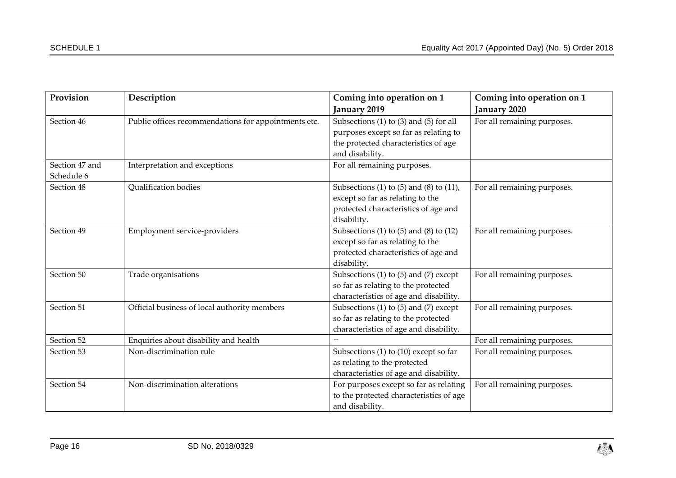| Provision      | Description                                          | Coming into operation on 1                   | Coming into operation on 1  |
|----------------|------------------------------------------------------|----------------------------------------------|-----------------------------|
|                |                                                      | January 2019                                 | January 2020                |
| Section 46     | Public offices recommendations for appointments etc. | Subsections $(1)$ to $(3)$ and $(5)$ for all | For all remaining purposes. |
|                |                                                      | purposes except so far as relating to        |                             |
|                |                                                      | the protected characteristics of age         |                             |
|                |                                                      | and disability.                              |                             |
| Section 47 and | Interpretation and exceptions                        | For all remaining purposes.                  |                             |
| Schedule 6     |                                                      |                                              |                             |
| Section 48     | Qualification bodies                                 | Subsections (1) to (5) and (8) to (11),      | For all remaining purposes. |
|                |                                                      | except so far as relating to the             |                             |
|                |                                                      | protected characteristics of age and         |                             |
|                |                                                      | disability.                                  |                             |
| Section 49     | Employment service-providers                         | Subsections (1) to (5) and (8) to (12)       | For all remaining purposes. |
|                |                                                      | except so far as relating to the             |                             |
|                |                                                      | protected characteristics of age and         |                             |
|                |                                                      | disability.                                  |                             |
| Section 50     | Trade organisations                                  | Subsections (1) to (5) and (7) except        | For all remaining purposes. |
|                |                                                      | so far as relating to the protected          |                             |
|                |                                                      | characteristics of age and disability.       |                             |
| Section 51     | Official business of local authority members         | Subsections $(1)$ to $(5)$ and $(7)$ except  | For all remaining purposes. |
|                |                                                      | so far as relating to the protected          |                             |
|                |                                                      | characteristics of age and disability.       |                             |
| Section 52     | Enquiries about disability and health                |                                              | For all remaining purposes. |
| Section 53     | Non-discrimination rule                              | Subsections (1) to (10) except so far        | For all remaining purposes. |
|                |                                                      | as relating to the protected                 |                             |
|                |                                                      | characteristics of age and disability.       |                             |
| Section 54     | Non-discrimination alterations                       | For purposes except so far as relating       | For all remaining purposes. |
|                |                                                      | to the protected characteristics of age      |                             |
|                |                                                      | and disability.                              |                             |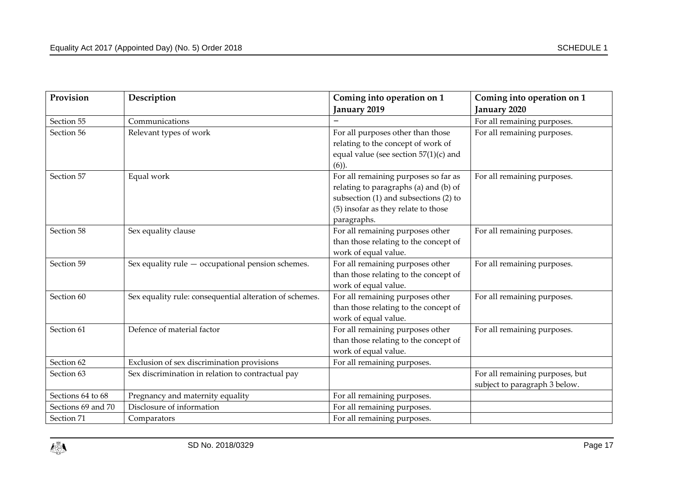| Provision          | Description                                             | Coming into operation on 1                                                                                                                                                       | Coming into operation on 1                                       |
|--------------------|---------------------------------------------------------|----------------------------------------------------------------------------------------------------------------------------------------------------------------------------------|------------------------------------------------------------------|
|                    |                                                         | January 2019                                                                                                                                                                     | January 2020                                                     |
| Section 55         | Communications                                          |                                                                                                                                                                                  | For all remaining purposes.                                      |
| Section 56         | Relevant types of work                                  | For all purposes other than those<br>relating to the concept of work of<br>equal value (see section $57(1)(c)$ and<br>$(6)$ ).                                                   | For all remaining purposes.                                      |
| Section 57         | Equal work                                              | For all remaining purposes so far as<br>relating to paragraphs (a) and (b) of<br>subsection $(1)$ and subsections $(2)$ to<br>(5) insofar as they relate to those<br>paragraphs. | For all remaining purposes.                                      |
| Section 58         | Sex equality clause                                     | For all remaining purposes other<br>than those relating to the concept of<br>work of equal value.                                                                                | For all remaining purposes.                                      |
| Section 59         | Sex equality rule $-$ occupational pension schemes.     | For all remaining purposes other<br>than those relating to the concept of<br>work of equal value.                                                                                | For all remaining purposes.                                      |
| Section 60         | Sex equality rule: consequential alteration of schemes. | For all remaining purposes other<br>than those relating to the concept of<br>work of equal value.                                                                                | For all remaining purposes.                                      |
| Section 61         | Defence of material factor                              | For all remaining purposes other<br>than those relating to the concept of<br>work of equal value.                                                                                | For all remaining purposes.                                      |
| Section 62         | Exclusion of sex discrimination provisions              | For all remaining purposes.                                                                                                                                                      |                                                                  |
| Section 63         | Sex discrimination in relation to contractual pay       |                                                                                                                                                                                  | For all remaining purposes, but<br>subject to paragraph 3 below. |
| Sections 64 to 68  | Pregnancy and maternity equality                        | For all remaining purposes.                                                                                                                                                      |                                                                  |
| Sections 69 and 70 | Disclosure of information                               | For all remaining purposes.                                                                                                                                                      |                                                                  |
| Section 71         | Comparators                                             | For all remaining purposes.                                                                                                                                                      |                                                                  |

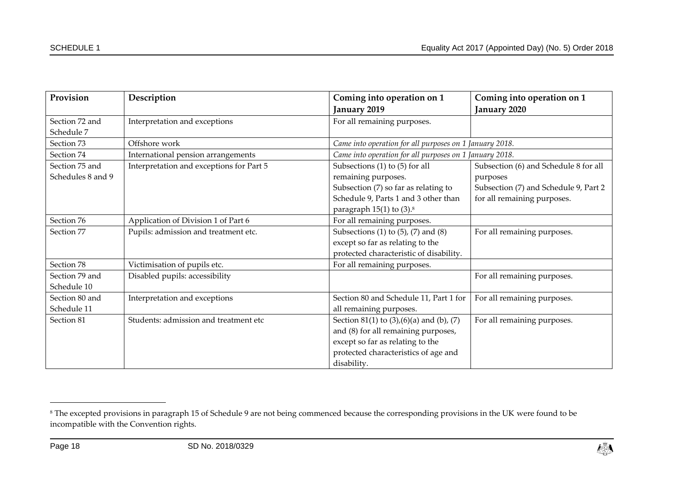| Provision                           | Description                              | Coming into operation on 1<br>January 2019                                                                                                                                               | Coming into operation on 1<br>January 2020                           |
|-------------------------------------|------------------------------------------|------------------------------------------------------------------------------------------------------------------------------------------------------------------------------------------|----------------------------------------------------------------------|
| Section 72 and<br>Schedule 7        | Interpretation and exceptions            | For all remaining purposes.                                                                                                                                                              |                                                                      |
| Section 73                          | Offshore work                            | Came into operation for all purposes on 1 January 2018.                                                                                                                                  |                                                                      |
| Section 74                          | International pension arrangements       | Came into operation for all purposes on 1 January 2018.                                                                                                                                  |                                                                      |
| Section 75 and<br>Schedules 8 and 9 | Interpretation and exceptions for Part 5 | Subsections $(1)$ to $(5)$ for all<br>remaining purposes.                                                                                                                                | Subsection (6) and Schedule 8 for all<br>purposes                    |
|                                     |                                          | Subsection (7) so far as relating to<br>Schedule 9, Parts 1 and 3 other than<br>paragraph $15(1)$ to $(3).$ <sup>8</sup>                                                                 | Subsection (7) and Schedule 9, Part 2<br>for all remaining purposes. |
| Section 76                          | Application of Division 1 of Part 6      | For all remaining purposes.                                                                                                                                                              |                                                                      |
| Section 77                          | Pupils: admission and treatment etc.     | Subsections $(1)$ to $(5)$ , $(7)$ and $(8)$<br>except so far as relating to the<br>protected characteristic of disability.                                                              | For all remaining purposes.                                          |
| Section 78                          | Victimisation of pupils etc.             | For all remaining purposes.                                                                                                                                                              |                                                                      |
| Section 79 and<br>Schedule 10       | Disabled pupils: accessibility           |                                                                                                                                                                                          | For all remaining purposes.                                          |
| Section 80 and<br>Schedule 11       | Interpretation and exceptions            | Section 80 and Schedule 11, Part 1 for<br>all remaining purposes.                                                                                                                        | For all remaining purposes.                                          |
| Section 81                          | Students: admission and treatment etc    | Section 81(1) to $(3)$ , $(6)$ $(a)$ and $(b)$ , $(7)$<br>and (8) for all remaining purposes,<br>except so far as relating to the<br>protected characteristics of age and<br>disability. | For all remaining purposes.                                          |

<sup>&</sup>lt;sup>8</sup> The excepted provisions in paragraph 15 of Schedule 9 are not being commenced because the corresponding provisions in the UK were found to be incompatible with the Convention rights.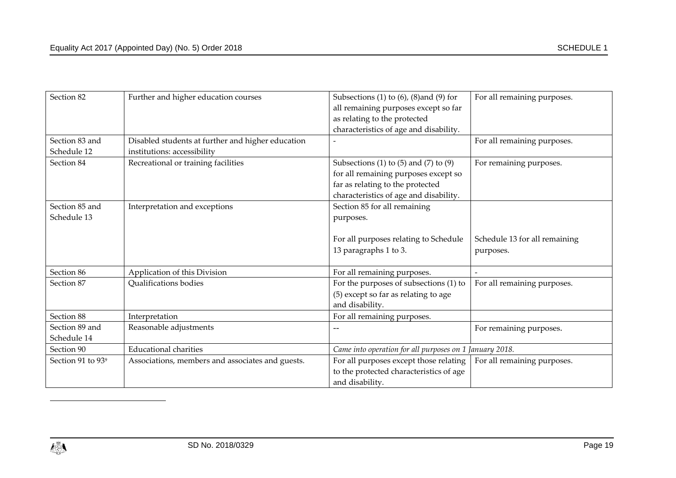| Section 82                    | Further and higher education courses              | Subsections (1) to $(6)$ , $(8)$ and $(9)$ for          | For all remaining purposes.   |
|-------------------------------|---------------------------------------------------|---------------------------------------------------------|-------------------------------|
|                               |                                                   | all remaining purposes except so far                    |                               |
|                               |                                                   | as relating to the protected                            |                               |
|                               |                                                   | characteristics of age and disability.                  |                               |
| Section 83 and                | Disabled students at further and higher education |                                                         | For all remaining purposes.   |
| Schedule 12                   | institutions: accessibility                       |                                                         |                               |
| Section 84                    | Recreational or training facilities               | Subsections (1) to (5) and (7) to (9)                   | For remaining purposes.       |
|                               |                                                   | for all remaining purposes except so                    |                               |
|                               |                                                   | far as relating to the protected                        |                               |
|                               |                                                   | characteristics of age and disability.                  |                               |
| Section 85 and                | Interpretation and exceptions                     | Section 85 for all remaining                            |                               |
| Schedule 13                   |                                                   | purposes.                                               |                               |
|                               |                                                   |                                                         |                               |
|                               |                                                   | For all purposes relating to Schedule                   | Schedule 13 for all remaining |
|                               |                                                   | 13 paragraphs 1 to 3.                                   | purposes.                     |
|                               |                                                   |                                                         |                               |
| Section 86                    | Application of this Division                      | For all remaining purposes.                             |                               |
| Section 87                    | Qualifications bodies                             | For the purposes of subsections (1) to                  | For all remaining purposes.   |
|                               |                                                   | (5) except so far as relating to age                    |                               |
|                               |                                                   | and disability.                                         |                               |
| Section 88                    | Interpretation                                    | For all remaining purposes.                             |                               |
| Section 89 and                | Reasonable adjustments                            | $-\!$ $-$                                               | For remaining purposes.       |
| Schedule 14                   |                                                   |                                                         |                               |
| Section 90                    | <b>Educational charities</b>                      | Came into operation for all purposes on 1 January 2018. |                               |
| Section 91 to 93 <sup>9</sup> | Associations, members and associates and guests.  | For all purposes except those relating                  | For all remaining purposes.   |
|                               |                                                   | to the protected characteristics of age                 |                               |
|                               |                                                   | and disability.                                         |                               |

 $\overline{a}$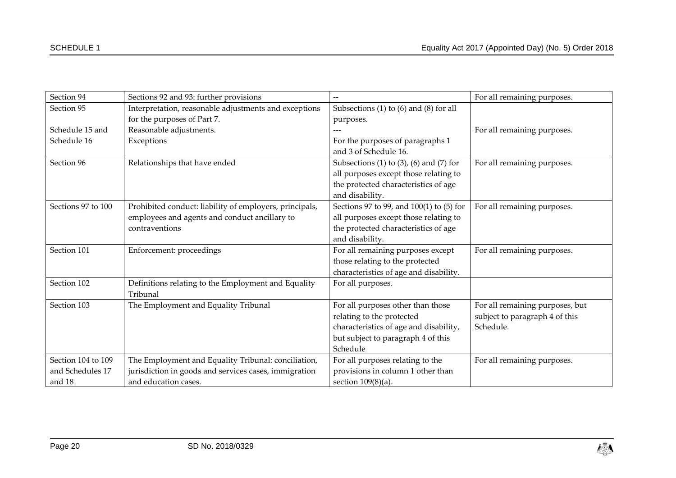| Section 94         | Sections 92 and 93: further provisions                  |                                              | For all remaining purposes.     |
|--------------------|---------------------------------------------------------|----------------------------------------------|---------------------------------|
| Section 95         | Interpretation, reasonable adjustments and exceptions   | Subsections $(1)$ to $(6)$ and $(8)$ for all |                                 |
|                    | for the purposes of Part 7.                             | purposes.                                    |                                 |
| Schedule 15 and    | Reasonable adjustments.                                 |                                              | For all remaining purposes.     |
| Schedule 16        | Exceptions                                              | For the purposes of paragraphs 1             |                                 |
|                    |                                                         | and 3 of Schedule 16.                        |                                 |
| Section 96         | Relationships that have ended                           | Subsections (1) to (3), (6) and (7) for      | For all remaining purposes.     |
|                    |                                                         | all purposes except those relating to        |                                 |
|                    |                                                         | the protected characteristics of age         |                                 |
|                    |                                                         | and disability.                              |                                 |
| Sections 97 to 100 | Prohibited conduct: liability of employers, principals, | Sections 97 to 99, and 100(1) to (5) for     | For all remaining purposes.     |
|                    | employees and agents and conduct ancillary to           | all purposes except those relating to        |                                 |
|                    | contraventions                                          | the protected characteristics of age         |                                 |
|                    |                                                         | and disability.                              |                                 |
| Section 101        | Enforcement: proceedings                                | For all remaining purposes except            | For all remaining purposes.     |
|                    |                                                         | those relating to the protected              |                                 |
|                    |                                                         | characteristics of age and disability.       |                                 |
| Section 102        | Definitions relating to the Employment and Equality     | For all purposes.                            |                                 |
|                    | Tribunal                                                |                                              |                                 |
| Section 103        | The Employment and Equality Tribunal                    | For all purposes other than those            | For all remaining purposes, but |
|                    |                                                         | relating to the protected                    | subject to paragraph 4 of this  |
|                    |                                                         | characteristics of age and disability,       | Schedule.                       |
|                    |                                                         | but subject to paragraph 4 of this           |                                 |
|                    |                                                         | Schedule                                     |                                 |
| Section 104 to 109 | The Employment and Equality Tribunal: conciliation,     | For all purposes relating to the             | For all remaining purposes.     |
| and Schedules 17   | jurisdiction in goods and services cases, immigration   | provisions in column 1 other than            |                                 |
| and 18             | and education cases.                                    | section $109(8)(a)$ .                        |                                 |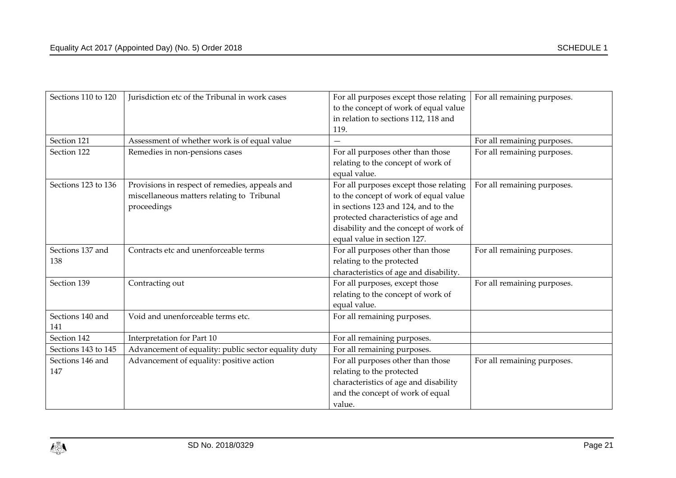| Sections 110 to 120     | Jurisdiction etc of the Tribunal in work cases                                                              | For all purposes except those relating<br>to the concept of work of equal value<br>in relation to sections 112, 118 and<br>119.                                                                                                        | For all remaining purposes. |
|-------------------------|-------------------------------------------------------------------------------------------------------------|----------------------------------------------------------------------------------------------------------------------------------------------------------------------------------------------------------------------------------------|-----------------------------|
| Section 121             | Assessment of whether work is of equal value                                                                |                                                                                                                                                                                                                                        | For all remaining purposes. |
| Section 122             | Remedies in non-pensions cases                                                                              | For all purposes other than those<br>relating to the concept of work of<br>equal value.                                                                                                                                                | For all remaining purposes. |
| Sections 123 to 136     | Provisions in respect of remedies, appeals and<br>miscellaneous matters relating to Tribunal<br>proceedings | For all purposes except those relating<br>to the concept of work of equal value<br>in sections 123 and 124, and to the<br>protected characteristics of age and<br>disability and the concept of work of<br>equal value in section 127. | For all remaining purposes. |
| Sections 137 and<br>138 | Contracts etc and unenforceable terms                                                                       | For all purposes other than those<br>relating to the protected<br>characteristics of age and disability.                                                                                                                               | For all remaining purposes. |
| Section 139             | Contracting out                                                                                             | For all purposes, except those<br>relating to the concept of work of<br>equal value.                                                                                                                                                   | For all remaining purposes. |
| Sections 140 and<br>141 | Void and unenforceable terms etc.                                                                           | For all remaining purposes.                                                                                                                                                                                                            |                             |
| Section 142             | Interpretation for Part 10                                                                                  | For all remaining purposes.                                                                                                                                                                                                            |                             |
| Sections 143 to 145     | Advancement of equality: public sector equality duty                                                        | For all remaining purposes.                                                                                                                                                                                                            |                             |
| Sections 146 and<br>147 | Advancement of equality: positive action                                                                    | For all purposes other than those<br>relating to the protected<br>characteristics of age and disability<br>and the concept of work of equal<br>value.                                                                                  | For all remaining purposes. |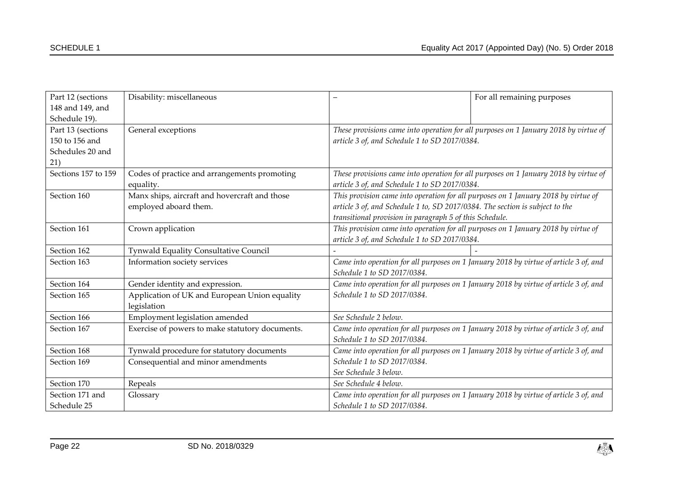| Part 12 (sections   | Disability: miscellaneous                       |                                                                                       | For all remaining purposes                                                            |
|---------------------|-------------------------------------------------|---------------------------------------------------------------------------------------|---------------------------------------------------------------------------------------|
| 148 and 149, and    |                                                 |                                                                                       |                                                                                       |
| Schedule 19).       |                                                 |                                                                                       |                                                                                       |
| Part 13 (sections   | General exceptions                              |                                                                                       | These provisions came into operation for all purposes on 1 January 2018 by virtue of  |
| 150 to 156 and      |                                                 | article 3 of, and Schedule 1 to SD 2017/0384.                                         |                                                                                       |
| Schedules 20 and    |                                                 |                                                                                       |                                                                                       |
| 21)                 |                                                 |                                                                                       |                                                                                       |
| Sections 157 to 159 | Codes of practice and arrangements promoting    |                                                                                       | These provisions came into operation for all purposes on 1 January 2018 by virtue of  |
|                     | equality.                                       | article 3 of, and Schedule 1 to SD 2017/0384.                                         |                                                                                       |
| Section 160         | Manx ships, aircraft and hovercraft and those   |                                                                                       | This provision came into operation for all purposes on 1 January 2018 by virtue of    |
|                     | employed aboard them.                           | article 3 of, and Schedule 1 to, SD 2017/0384. The section is subject to the          |                                                                                       |
|                     |                                                 | transitional provision in paragraph 5 of this Schedule.                               |                                                                                       |
| Section 161         | Crown application                               | This provision came into operation for all purposes on 1 January 2018 by virtue of    |                                                                                       |
|                     |                                                 | article 3 of, and Schedule 1 to SD 2017/0384.                                         |                                                                                       |
| Section 162         | Tynwald Equality Consultative Council           |                                                                                       |                                                                                       |
| Section 163         | Information society services                    | Came into operation for all purposes on 1 January 2018 by virtue of article 3 of, and |                                                                                       |
|                     |                                                 | Schedule 1 to SD 2017/0384.                                                           |                                                                                       |
| Section 164         | Gender identity and expression.                 |                                                                                       | Came into operation for all purposes on 1 January 2018 by virtue of article 3 of, and |
| Section 165         | Application of UK and European Union equality   | Schedule 1 to SD 2017/0384.                                                           |                                                                                       |
|                     | legislation                                     |                                                                                       |                                                                                       |
| Section 166         | Employment legislation amended                  | See Schedule 2 below.                                                                 |                                                                                       |
| Section 167         | Exercise of powers to make statutory documents. |                                                                                       | Came into operation for all purposes on 1 January 2018 by virtue of article 3 of, and |
|                     |                                                 | Schedule 1 to SD 2017/0384.                                                           |                                                                                       |
| Section 168         | Tynwald procedure for statutory documents       |                                                                                       | Came into operation for all purposes on 1 January 2018 by virtue of article 3 of, and |
| Section 169         | Consequential and minor amendments              | Schedule 1 to SD 2017/0384.                                                           |                                                                                       |
|                     |                                                 | See Schedule 3 below.                                                                 |                                                                                       |
| Section 170         | Repeals                                         | See Schedule 4 below.                                                                 |                                                                                       |
| Section 171 and     | Glossary                                        | Came into operation for all purposes on 1 January 2018 by virtue of article 3 of, and |                                                                                       |
| Schedule 25         |                                                 | Schedule 1 to SD 2017/0384.                                                           |                                                                                       |

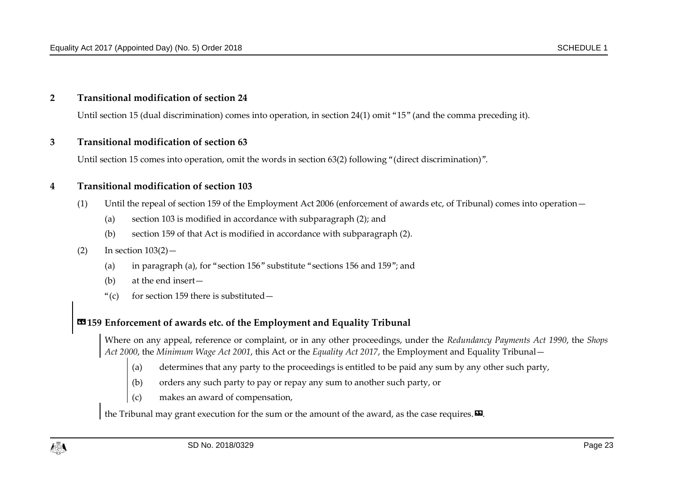#### **2 Transitional modification of section 24**

Until section 15 (dual discrimination) comes into operation, in section 24(1) omit "15" (and the comma preceding it).

#### **3 Transitional modification of section 63**

Until section 15 comes into operation, omit the words in section 63(2) following "(direct discrimination)".

#### **4 Transitional modification of section 103**

- (1) Until the repeal of section 159 of the Employment Act 2006 (enforcement of awards etc, of Tribunal) comes into operation—
	- (a) section 103 is modified in accordance with subparagraph (2); and
	- (b) section 159 of that Act is modified in accordance with subparagraph (2).

#### $\text{(2)}$  In section  $103(2)$  —

- (a) in paragraph (a), for "section 156" substitute "sections 156 and 159"; and
- (b) at the end insert—
- "(c) for section 159 there is substituted  $-$

# **«159 Enforcement of awards etc. of the Employment and Equality Tribunal**

Where on any appeal, reference or complaint, or in any other proceedings, under the *Redundancy Payments Act 1990*, the *Shops Act 2000*, the *Minimum Wage Act 2001*, this Act or the *Equality Act 2017*, the Employment and Equality Tribunal—

- (a) determines that any party to the proceedings is entitled to be paid any sum by any other such party,
- (b) orders any such party to pay or repay any sum to another such party, or
- (c) makes an award of compensation,

the Tribunal may grant execution for the sum or the amount of the award, as the case requires.  $\mathbf{E}$ .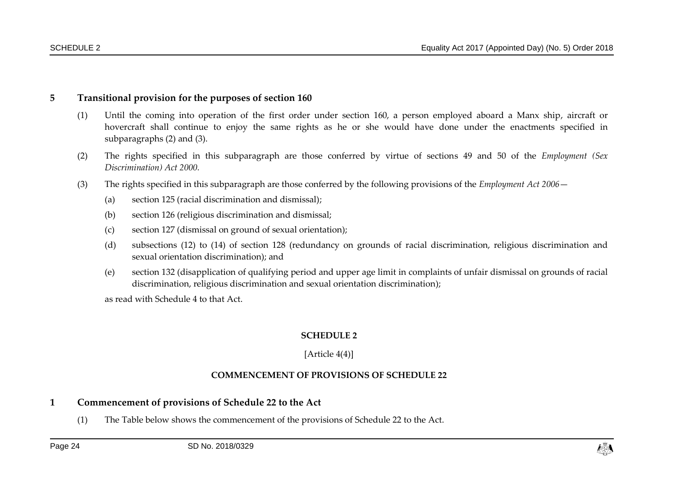#### **5 Transitional provision for the purposes of section 160**

- (1) Until the coming into operation of the first order under section 160, a person employed aboard a Manx ship, aircraft or hovercraft shall continue to enjoy the same rights as he or she would have done under the enactments specified in subparagraphs (2) and (3).
- (2) The rights specified in this subparagraph are those conferred by virtue of sections 49 and 50 of the *Employment (Sex Discrimination) Act 2000.*
- (3) The rights specified in this subparagraph are those conferred by the following provisions of the *Employment Act 2006*
	- (a) section 125 (racial discrimination and dismissal);
	- (b) section 126 (religious discrimination and dismissal;
	- (c) section 127 (dismissal on ground of sexual orientation);
	- (d) subsections (12) to (14) of section 128 (redundancy on grounds of racial discrimination, religious discrimination and sexual orientation discrimination); and
	- (e) section 132 (disapplication of qualifying period and upper age limit in complaints of unfair dismissal on grounds of racial discrimination, religious discrimination and sexual orientation discrimination);

as read with Schedule 4 to that Act.

#### **SCHEDULE 2**

#### [Article [4\(4\)\]](#page-5-1)

#### **COMMENCEMENT OF PROVISIONS OF SCHEDULE 22**

#### **1 Commencement of provisions of Schedule 22 to the Act**

<span id="page-23-1"></span><span id="page-23-0"></span>(1) The Table below shows the commencement of the provisions of Schedule 22 to the Act.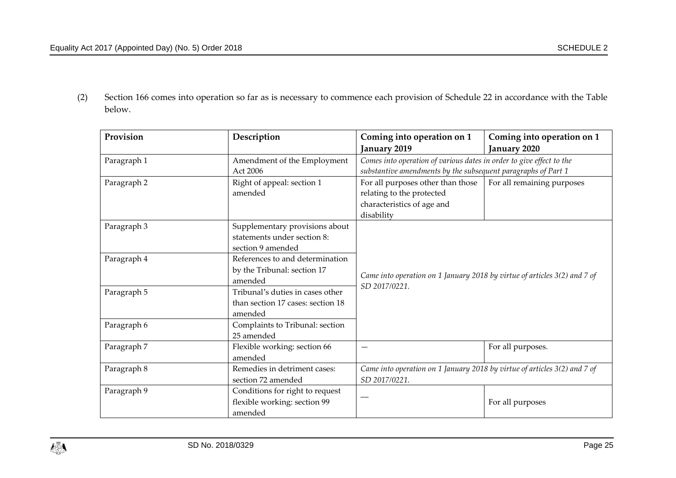(2) Section 166 comes into operation so far as is necessary to commence each provision of Schedule 22 in accordance with the Table below.

| Provision                                      | Description                       |                                                                           | Coming into operation on 1                                    |  |
|------------------------------------------------|-----------------------------------|---------------------------------------------------------------------------|---------------------------------------------------------------|--|
|                                                |                                   | January 2019                                                              | January 2020                                                  |  |
| Amendment of the Employment<br>Paragraph 1     |                                   | Comes into operation of various dates in order to give effect to the      |                                                               |  |
|                                                | Act 2006                          |                                                                           | substantive amendments by the subsequent paragraphs of Part 1 |  |
| Paragraph 2                                    | Right of appeal: section 1        | For all remaining purposes<br>For all purposes other than those           |                                                               |  |
|                                                | amended                           | relating to the protected                                                 |                                                               |  |
|                                                |                                   | characteristics of age and                                                |                                                               |  |
|                                                |                                   | disability                                                                |                                                               |  |
| Paragraph 3                                    | Supplementary provisions about    |                                                                           |                                                               |  |
|                                                | statements under section 8:       |                                                                           |                                                               |  |
|                                                | section 9 amended                 |                                                                           |                                                               |  |
| Paragraph 4                                    | References to and determination   |                                                                           |                                                               |  |
|                                                | by the Tribunal: section 17       | Came into operation on 1 January 2018 by virtue of articles 3(2) and 7 of |                                                               |  |
| amended                                        |                                   | SD 2017/0221.                                                             |                                                               |  |
| Paragraph 5                                    | Tribunal's duties in cases other  |                                                                           |                                                               |  |
|                                                | than section 17 cases: section 18 |                                                                           |                                                               |  |
|                                                | amended                           |                                                                           |                                                               |  |
| Paragraph 6                                    | Complaints to Tribunal: section   |                                                                           |                                                               |  |
|                                                | 25 amended                        |                                                                           |                                                               |  |
| Paragraph 7                                    | Flexible working: section 66      |                                                                           | For all purposes.                                             |  |
|                                                | amended                           |                                                                           |                                                               |  |
| Paragraph 8                                    | Remedies in detriment cases:      | Came into operation on 1 January 2018 by virtue of articles 3(2) and 7 of |                                                               |  |
|                                                | section 72 amended                | SD 2017/0221.                                                             |                                                               |  |
| Conditions for right to request<br>Paragraph 9 |                                   |                                                                           |                                                               |  |
|                                                | flexible working: section 99      | For all purposes                                                          |                                                               |  |
|                                                | amended                           |                                                                           |                                                               |  |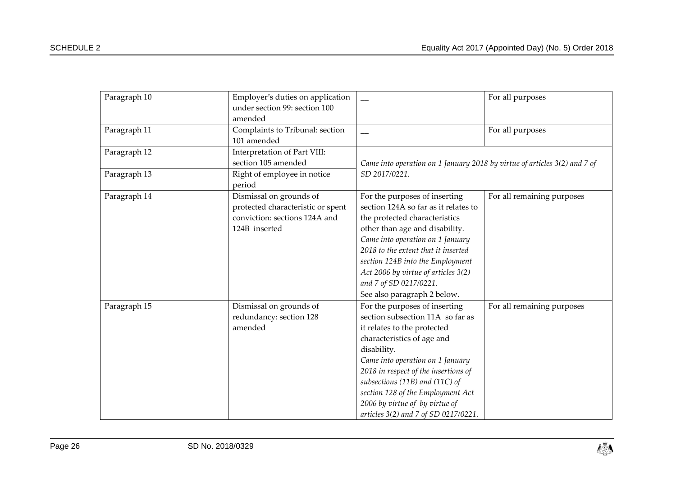| Paragraph 10 | Employer's duties on application<br>under section 99: section 100<br>amended                                   |                                                                                                                                                                                                                                                                                                                                                                            | For all purposes           |
|--------------|----------------------------------------------------------------------------------------------------------------|----------------------------------------------------------------------------------------------------------------------------------------------------------------------------------------------------------------------------------------------------------------------------------------------------------------------------------------------------------------------------|----------------------------|
| Paragraph 11 | Complaints to Tribunal: section<br>101 amended                                                                 |                                                                                                                                                                                                                                                                                                                                                                            | For all purposes           |
| Paragraph 12 | Interpretation of Part VIII:<br>section 105 amended                                                            | Came into operation on 1 January 2018 by virtue of articles 3(2) and 7 of<br>SD 2017/0221.                                                                                                                                                                                                                                                                                 |                            |
| Paragraph 13 | Right of employee in notice<br>period                                                                          |                                                                                                                                                                                                                                                                                                                                                                            |                            |
| Paragraph 14 | Dismissal on grounds of<br>protected characteristic or spent<br>conviction: sections 124A and<br>124B inserted | For the purposes of inserting<br>section 124A so far as it relates to<br>the protected characteristics<br>other than age and disability.<br>Came into operation on 1 January<br>2018 to the extent that it inserted<br>section 124B into the Employment<br>Act 2006 by virtue of articles 3(2)<br>and 7 of SD 0217/0221.<br>See also paragraph 2 below.                    | For all remaining purposes |
| Paragraph 15 | Dismissal on grounds of<br>redundancy: section 128<br>amended                                                  | For the purposes of inserting<br>section subsection 11A so far as<br>it relates to the protected<br>characteristics of age and<br>disability.<br>Came into operation on 1 January<br>2018 in respect of the insertions of<br>subsections (11B) and (11C) of<br>section 128 of the Employment Act<br>2006 by virtue of by virtue of<br>articles 3(2) and 7 of SD 0217/0221. | For all remaining purposes |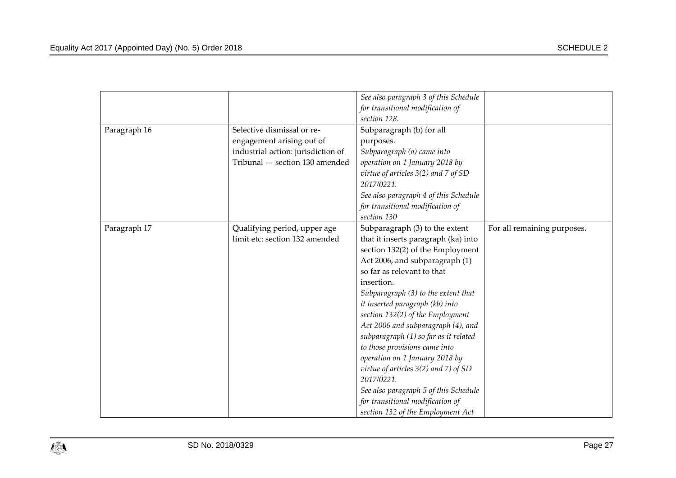|              |                                    | See also paragraph 3 of this Schedule    |                             |
|--------------|------------------------------------|------------------------------------------|-----------------------------|
|              |                                    | for transitional modification of         |                             |
|              |                                    | section 128.                             |                             |
| Paragraph 16 | Selective dismissal or re-         | Subparagraph (b) for all                 |                             |
|              | engagement arising out of          | purposes.                                |                             |
|              | industrial action: jurisdiction of | Subparagraph (a) came into               |                             |
|              | Tribunal - section 130 amended     | operation on 1 January 2018 by           |                             |
|              |                                    | virtue of articles 3(2) and 7 of SD      |                             |
|              |                                    | 2017/0221.                               |                             |
|              |                                    | See also paragraph 4 of this Schedule    |                             |
|              |                                    | for transitional modification of         |                             |
|              |                                    | section 130                              |                             |
| Paragraph 17 | Qualifying period, upper age       | Subparagraph (3) to the extent           | For all remaining purposes. |
|              | limit etc: section 132 amended     | that it inserts paragraph (ka) into      |                             |
|              |                                    | section 132(2) of the Employment         |                             |
|              |                                    | Act 2006, and subparagraph (1)           |                             |
|              |                                    | so far as relevant to that               |                             |
|              |                                    | insertion.                               |                             |
|              |                                    | Subparagraph (3) to the extent that      |                             |
|              |                                    | it inserted paragraph (kb) into          |                             |
|              |                                    | section 132(2) of the Employment         |                             |
|              |                                    | Act 2006 and subparagraph (4), and       |                             |
|              |                                    | subparagraph (1) so far as it related    |                             |
|              |                                    | to those provisions came into            |                             |
|              |                                    | operation on 1 January 2018 by           |                             |
|              |                                    | virtue of articles $3(2)$ and $7)$ of SD |                             |
|              |                                    | 2017/0221.                               |                             |
|              |                                    | See also paragraph 5 of this Schedule    |                             |
|              |                                    | for transitional modification of         |                             |
|              |                                    | section 132 of the Employment Act        |                             |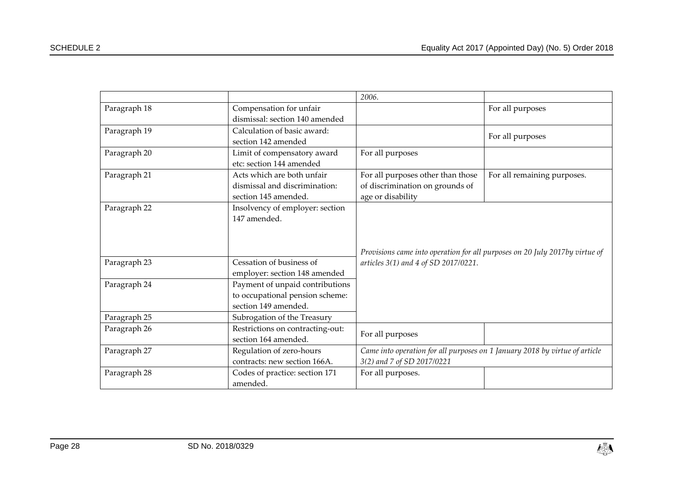|              |                                                                                                         | 2006.                                                                       |                             |
|--------------|---------------------------------------------------------------------------------------------------------|-----------------------------------------------------------------------------|-----------------------------|
| Paragraph 18 | Compensation for unfair                                                                                 |                                                                             | For all purposes            |
|              | dismissal: section 140 amended                                                                          |                                                                             |                             |
| Paragraph 19 | Calculation of basic award:                                                                             |                                                                             |                             |
|              | section 142 amended                                                                                     |                                                                             | For all purposes            |
| Paragraph 20 | Limit of compensatory award                                                                             | For all purposes                                                            |                             |
|              | etc: section 144 amended                                                                                |                                                                             |                             |
| Paragraph 21 | Acts which are both unfair                                                                              | For all purposes other than those                                           | For all remaining purposes. |
|              | dismissal and discrimination:                                                                           | of discrimination on grounds of                                             |                             |
|              | section 145 amended.                                                                                    | age or disability                                                           |                             |
| Paragraph 22 | Insolvency of employer: section                                                                         |                                                                             |                             |
|              | 147 amended.                                                                                            |                                                                             |                             |
|              |                                                                                                         |                                                                             |                             |
|              |                                                                                                         |                                                                             |                             |
|              |                                                                                                         | Provisions came into operation for all purposes on 20 July 2017by virtue of |                             |
| Paragraph 23 | Cessation of business of                                                                                | articles 3(1) and 4 of SD 2017/0221.                                        |                             |
|              | employer: section 148 amended                                                                           |                                                                             |                             |
| Paragraph 24 | Payment of unpaid contributions                                                                         |                                                                             |                             |
|              | to occupational pension scheme:                                                                         |                                                                             |                             |
|              | section 149 amended.                                                                                    |                                                                             |                             |
| Paragraph 25 | Subrogation of the Treasury                                                                             |                                                                             |                             |
| Paragraph 26 | Restrictions on contracting-out:                                                                        |                                                                             |                             |
|              | section 164 amended.                                                                                    | For all purposes                                                            |                             |
| Paragraph 27 | Came into operation for all purposes on 1 January 2018 by virtue of article<br>Regulation of zero-hours |                                                                             |                             |
|              | contracts: new section 166A.                                                                            | 3(2) and 7 of SD 2017/0221                                                  |                             |
| Paragraph 28 | Codes of practice: section 171                                                                          | For all purposes.                                                           |                             |
|              | amended.                                                                                                |                                                                             |                             |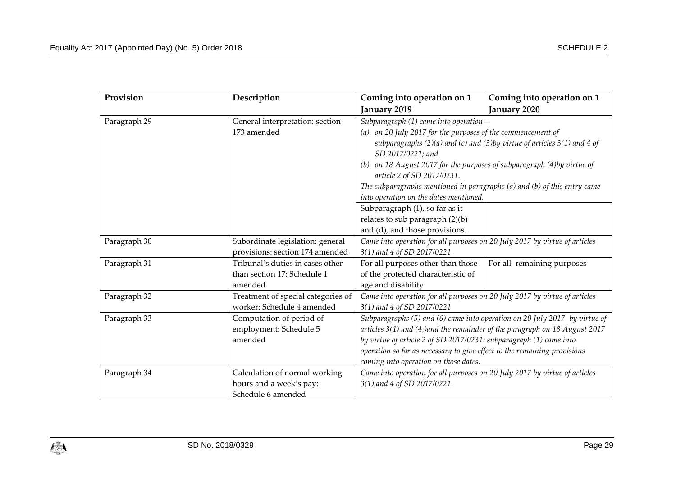| Provision          | Description                                                                | Coming into operation on 1                                                 | Coming into operation on 1                                                         |
|--------------------|----------------------------------------------------------------------------|----------------------------------------------------------------------------|------------------------------------------------------------------------------------|
|                    |                                                                            | January 2019                                                               | January 2020                                                                       |
| Paragraph 29       | General interpretation: section                                            | Subparagraph (1) came into operation-                                      |                                                                                    |
|                    | 173 amended<br>(a) on 20 July 2017 for the purposes of the commencement of |                                                                            |                                                                                    |
|                    |                                                                            |                                                                            | subparagraphs $(2)(a)$ and $(c)$ and $(3)$ by virtue of articles $3(1)$ and $4$ of |
|                    |                                                                            | SD 2017/0221; and                                                          |                                                                                    |
|                    |                                                                            | (b) on 18 August 2017 for the purposes of subparagraph (4)by virtue of     |                                                                                    |
|                    |                                                                            | article 2 of SD 2017/0231.                                                 |                                                                                    |
|                    |                                                                            | The subparagraphs mentioned in paragraphs (a) and (b) of this entry came   |                                                                                    |
|                    |                                                                            | into operation on the dates mentioned.                                     |                                                                                    |
|                    |                                                                            | Subparagraph (1), so far as it                                             |                                                                                    |
|                    |                                                                            | relates to sub paragraph $(2)(b)$                                          |                                                                                    |
|                    |                                                                            | and (d), and those provisions.                                             |                                                                                    |
| Paragraph 30       | Subordinate legislation: general                                           | Came into operation for all purposes on 20 July 2017 by virtue of articles |                                                                                    |
|                    | provisions: section 174 amended                                            | 3(1) and 4 of SD 2017/0221.                                                |                                                                                    |
| Paragraph 31       | Tribunal's duties in cases other                                           | For all purposes other than those                                          | For all remaining purposes                                                         |
|                    | than section 17: Schedule 1                                                | of the protected characteristic of                                         |                                                                                    |
|                    | amended                                                                    | age and disability                                                         |                                                                                    |
| Paragraph 32       | Treatment of special categories of                                         | Came into operation for all purposes on 20 July 2017 by virtue of articles |                                                                                    |
|                    | worker: Schedule 4 amended                                                 | 3(1) and 4 of SD 2017/0221                                                 |                                                                                    |
| Paragraph 33       | Computation of period of                                                   |                                                                            | Subparagraphs (5) and (6) came into operation on 20 July 2017 by virtue of         |
|                    | employment: Schedule 5                                                     | articles 3(1) and (4,)and the remainder of the paragraph on 18 August 2017 |                                                                                    |
|                    | amended                                                                    | by virtue of article 2 of SD 2017/0231: subparagraph (1) came into         |                                                                                    |
|                    |                                                                            | operation so far as necessary to give effect to the remaining provisions   |                                                                                    |
|                    |                                                                            | coming into operation on those dates.                                      |                                                                                    |
| Paragraph 34       | Calculation of normal working                                              | Came into operation for all purposes on 20 July 2017 by virtue of articles |                                                                                    |
|                    | hours and a week's pay:                                                    | 3(1) and 4 of SD 2017/0221.                                                |                                                                                    |
| Schedule 6 amended |                                                                            |                                                                            |                                                                                    |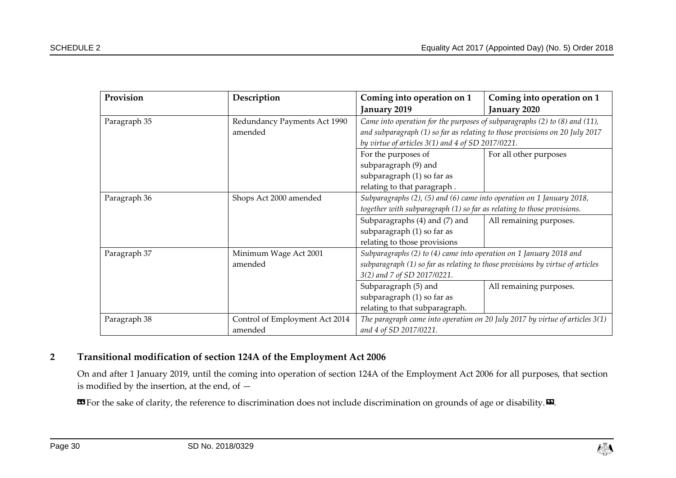| Provision    | Description                    | Coming into operation on 1                                                     | Coming into operation on 1 |
|--------------|--------------------------------|--------------------------------------------------------------------------------|----------------------------|
|              |                                | January 2019                                                                   | January 2020               |
| Paragraph 35 | Redundancy Payments Act 1990   | Came into operation for the purposes of subparagraphs (2) to (8) and (11),     |                            |
|              | amended                        | and subparagraph (1) so far as relating to those provisions on 20 July 2017    |                            |
|              |                                | by virtue of articles $3(1)$ and $4$ of SD 2017/0221.                          |                            |
|              |                                | For the purposes of                                                            | For all other purposes     |
|              |                                | subparagraph (9) and                                                           |                            |
|              |                                | subparagraph (1) so far as                                                     |                            |
|              |                                | relating to that paragraph.                                                    |                            |
| Paragraph 36 | Shops Act 2000 amended         | Subparagraphs (2), (5) and (6) came into operation on 1 January 2018,          |                            |
|              |                                | together with subparagraph (1) so far as relating to those provisions.         |                            |
|              |                                | Subparagraphs (4) and (7) and                                                  | All remaining purposes.    |
|              |                                | subparagraph (1) so far as                                                     |                            |
|              |                                | relating to those provisions                                                   |                            |
| Paragraph 37 | Minimum Wage Act 2001          | Subparagraphs (2) to (4) came into operation on 1 January 2018 and             |                            |
|              | amended                        | subparagraph (1) so far as relating to those provisions by virtue of articles  |                            |
|              |                                | 3(2) and 7 of SD 2017/0221.                                                    |                            |
|              |                                | Subparagraph (5) and                                                           | All remaining purposes.    |
|              |                                | subparagraph (1) so far as                                                     |                            |
|              |                                | relating to that subparagraph.                                                 |                            |
| Paragraph 38 | Control of Employment Act 2014 | The paragraph came into operation on 20 July 2017 by virtue of articles $3(1)$ |                            |
|              | amended                        | and 4 of SD 2017/0221.                                                         |                            |

## **2 Transitional modification of section 124A of the Employment Act 2006**

On and after 1 January 2019, until the coming into operation of section 124A of the Employment Act 2006 for all purposes, that section is modified by the insertion, at the end, of —

**EG** For the sake of clarity, the reference to discrimination does not include discrimination on grounds of age or disability.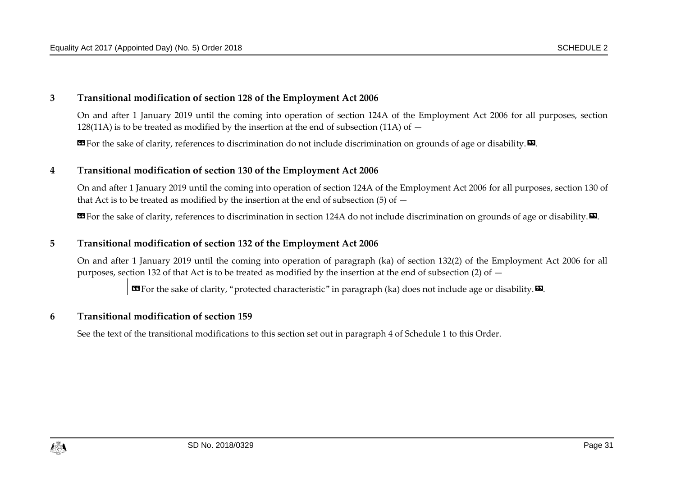#### **3 Transitional modification of section 128 of the Employment Act 2006**

On and after 1 January 2019 until the coming into operation of section 124A of the Employment Act 2006 for all purposes, section 128(11A) is to be treated as modified by the insertion at the end of subsection (11A) of  $-$ 

**EX** For the sake of clarity, references to discrimination do not include discrimination on grounds of age or disability.

#### **4 Transitional modification of section 130 of the Employment Act 2006**

On and after 1 January 2019 until the coming into operation of section 124A of the Employment Act 2006 for all purposes, section 130 of that Act is to be treated as modified by the insertion at the end of subsection (5) of  $-$ 

**EG** For the sake of clarity, references to discrimination in section 124A do not include discrimination on grounds of age or disability.  $\mathbf{E}$ .

#### **5 Transitional modification of section 132 of the Employment Act 2006**

On and after 1 January 2019 until the coming into operation of paragraph (ka) of section 132(2) of the Employment Act 2006 for all purposes, section 132 of that Act is to be treated as modified by the insertion at the end of subsection (2) of  $-$ 

**EG** For the sake of clarity, "protected characteristic" in paragraph (ka) does not include age or disability.

#### **6 Transitional modification of section 159**

See the text of the transitional modifications to this section set out in paragraph 4 of Schedule 1 to this Order.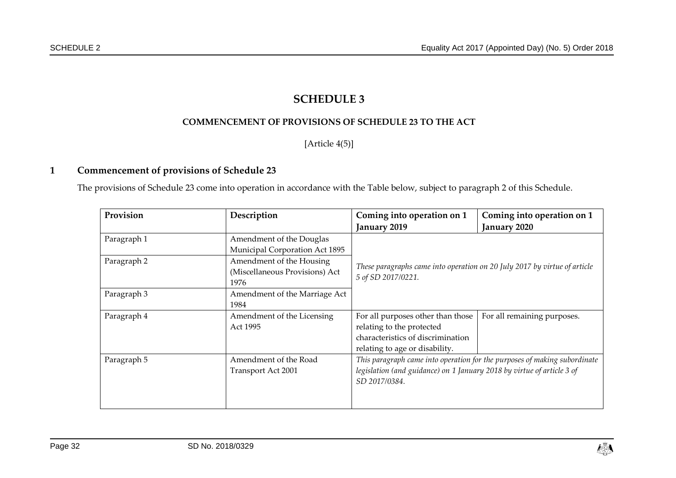# **SCHEDULE 3**

#### **COMMENCEMENT OF PROVISIONS OF SCHEDULE 23 TO THE ACT**

[Article [4\(5\)\]](#page-5-4)

#### **1 Commencement of provisions of Schedule 23**

The provisions of Schedule 23 come into operation in accordance with the Table below, subject to paragraph 2 of this Schedule.

<span id="page-31-1"></span><span id="page-31-0"></span>

| Provision   | Description                                                        | Coming into operation on 1                                                                      | Coming into operation on 1                                                |
|-------------|--------------------------------------------------------------------|-------------------------------------------------------------------------------------------------|---------------------------------------------------------------------------|
|             |                                                                    | January 2019                                                                                    | January 2020                                                              |
| Paragraph 1 | Amendment of the Douglas<br>Municipal Corporation Act 1895         |                                                                                                 |                                                                           |
| Paragraph 2 | Amendment of the Housing<br>(Miscellaneous Provisions) Act<br>1976 | These paragraphs came into operation on 20 July 2017 by virtue of article<br>5 of SD 2017/0221. |                                                                           |
| Paragraph 3 | Amendment of the Marriage Act<br>1984                              |                                                                                                 |                                                                           |
| Paragraph 4 | Amendment of the Licensing                                         | For all purposes other than those                                                               | For all remaining purposes.                                               |
|             | Act 1995                                                           | relating to the protected<br>characteristics of discrimination                                  |                                                                           |
|             |                                                                    | relating to age or disability.                                                                  |                                                                           |
| Paragraph 5 | Amendment of the Road                                              |                                                                                                 | This paragraph came into operation for the purposes of making subordinate |
|             | Transport Act 2001                                                 | legislation (and guidance) on 1 January 2018 by virtue of article 3 of<br>SD 2017/0384.         |                                                                           |
|             |                                                                    |                                                                                                 |                                                                           |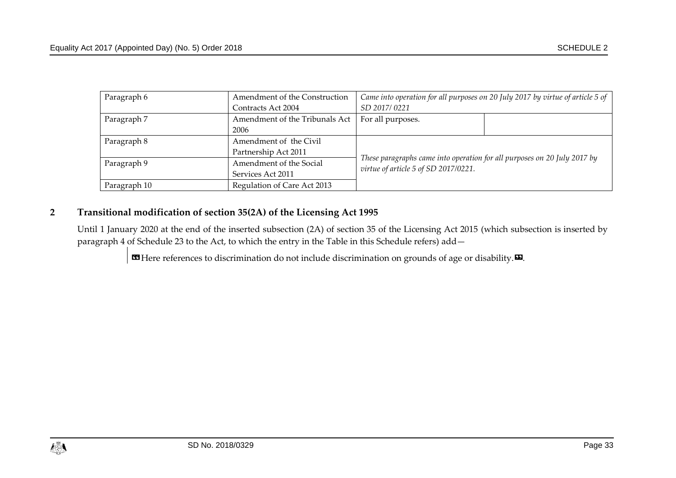| Paragraph 6  | Amendment of the Construction  | Came into operation for all purposes on 20 July 2017 by virtue of article 5 of                                   |  |
|--------------|--------------------------------|------------------------------------------------------------------------------------------------------------------|--|
|              | Contracts Act 2004             | SD 2017/0221                                                                                                     |  |
| Paragraph 7  | Amendment of the Tribunals Act | For all purposes.                                                                                                |  |
|              | 2006                           |                                                                                                                  |  |
| Paragraph 8  | Amendment of the Civil         |                                                                                                                  |  |
|              | Partnership Act 2011           |                                                                                                                  |  |
| Paragraph 9  | Amendment of the Social        | These paragraphs came into operation for all purposes on 20 July 2017 by<br>virtue of article 5 of SD 2017/0221. |  |
|              | Services Act 2011              |                                                                                                                  |  |
| Paragraph 10 | Regulation of Care Act 2013    |                                                                                                                  |  |

# **2 Transitional modification of section 35(2A) of the Licensing Act 1995**

Until 1 January 2020 at the end of the inserted subsection (2A) of section 35 of the Licensing Act 2015 (which subsection is inserted by paragraph 4 of Schedule 23 to the Act, to which the entry in the Table in this Schedule refers) add—

**B** Here references to discrimination do not include discrimination on grounds of age or disability.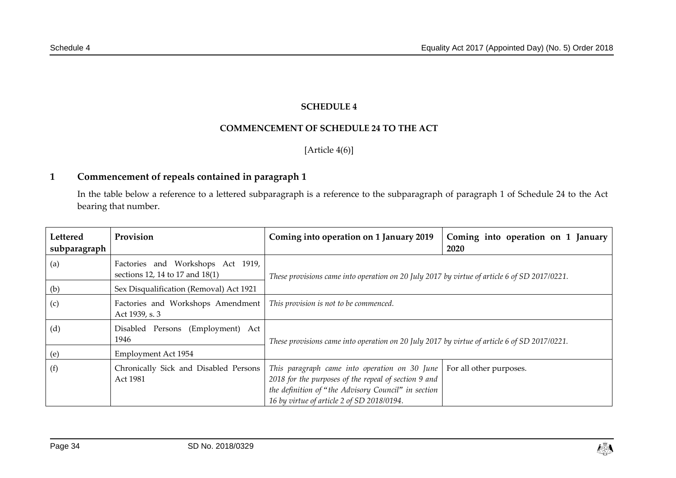### **SCHEDULE 4**

#### **COMMENCEMENT OF SCHEDULE 24 TO THE ACT**

[Article [4\(6\)\]](#page-5-5)

# **1 Commencement of repeals contained in paragraph 1**

In the table below a reference to a lettered subparagraph is a reference to the subparagraph of paragraph 1 of Schedule 24 to the Act bearing that number.

<span id="page-33-1"></span><span id="page-33-0"></span>

| Lettered<br>subparagraph | Provision                                                            | Coming into operation on 1 January 2019                                                                                                                                                                    | Coming into operation on 1 January<br>2020 |
|--------------------------|----------------------------------------------------------------------|------------------------------------------------------------------------------------------------------------------------------------------------------------------------------------------------------------|--------------------------------------------|
| (a)                      | Factories and Workshops Act 1919,<br>sections 12, 14 to 17 and 18(1) | These provisions came into operation on 20 July 2017 by virtue of article 6 of SD 2017/0221.                                                                                                               |                                            |
| (b)                      | Sex Disqualification (Removal) Act 1921                              |                                                                                                                                                                                                            |                                            |
| (c)                      | Factories and Workshops Amendment<br>Act 1939, s. 3                  | This provision is not to be commenced.                                                                                                                                                                     |                                            |
| (d)                      | Disabled Persons (Employment) Act<br>1946                            | These provisions came into operation on 20 July 2017 by virtue of article 6 of SD 2017/0221.                                                                                                               |                                            |
| (e)                      | Employment Act 1954                                                  |                                                                                                                                                                                                            |                                            |
| (f)                      | Chronically Sick and Disabled Persons<br>Act 1981                    | This paragraph came into operation on 30 June<br>2018 for the purposes of the repeal of section 9 and<br>the definition of "the Advisory Council" in section<br>16 by virtue of article 2 of SD 2018/0194. | For all other purposes.                    |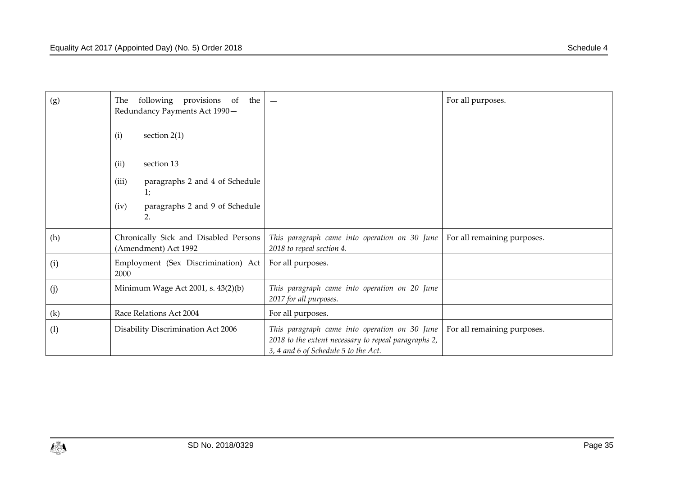| (g)               | following provisions of the<br>The<br>Redundancy Payments Act 1990- |                                                                                                                                               | For all purposes.           |
|-------------------|---------------------------------------------------------------------|-----------------------------------------------------------------------------------------------------------------------------------------------|-----------------------------|
|                   | (i)<br>section $2(1)$                                               |                                                                                                                                               |                             |
|                   | section 13<br>(ii)                                                  |                                                                                                                                               |                             |
|                   | (iii)<br>paragraphs 2 and 4 of Schedule<br>1;                       |                                                                                                                                               |                             |
|                   | paragraphs 2 and 9 of Schedule<br>(iv)<br>2.                        |                                                                                                                                               |                             |
| (h)               | Chronically Sick and Disabled Persons<br>(Amendment) Act 1992       | This paragraph came into operation on 30 June<br>2018 to repeal section 4.                                                                    | For all remaining purposes. |
| (i)               | Employment (Sex Discrimination) Act<br>2000                         | For all purposes.                                                                                                                             |                             |
| (j)               | Minimum Wage Act 2001, s. 43(2)(b)                                  | This paragraph came into operation on 20 June<br>2017 for all purposes.                                                                       |                             |
| $\left( k\right)$ | Race Relations Act 2004                                             | For all purposes.                                                                                                                             |                             |
| (1)               | Disability Discrimination Act 2006                                  | This paragraph came into operation on 30 June<br>2018 to the extent necessary to repeal paragraphs 2,<br>3, 4 and 6 of Schedule 5 to the Act. | For all remaining purposes. |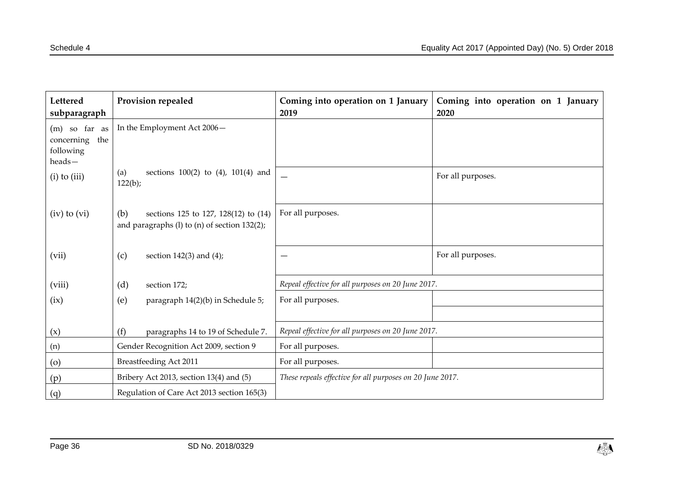| Lettered<br>subparagraph                                    | Provision repealed                                                                                  | Coming into operation on 1 January<br>2019                | Coming into operation on 1 January<br>2020 |
|-------------------------------------------------------------|-----------------------------------------------------------------------------------------------------|-----------------------------------------------------------|--------------------------------------------|
| $(m)$ so far as<br>concerning<br>the<br>following<br>heads- | In the Employment Act 2006-                                                                         |                                                           |                                            |
| $(i)$ to $(iii)$                                            | sections $100(2)$ to $(4)$ , $101(4)$ and<br>(a)<br>122(b);                                         |                                                           | For all purposes.                          |
| $(iv)$ to $(vi)$                                            | sections 125 to 127, 128(12) to (14)<br>(b)<br>and paragraphs $(l)$ to $(n)$ of section 132 $(2)$ ; | For all purposes.                                         |                                            |
| (vii)                                                       | (c)<br>section $142(3)$ and $(4)$ ;                                                                 |                                                           | For all purposes.                          |
| (viii)                                                      | (d)<br>section 172;                                                                                 | Repeal effective for all purposes on 20 June 2017.        |                                            |
| (ix)                                                        | (e)<br>paragraph 14(2)(b) in Schedule 5;                                                            | For all purposes.                                         |                                            |
|                                                             |                                                                                                     |                                                           |                                            |
| (x)                                                         | (f)<br>paragraphs 14 to 19 of Schedule 7.                                                           | Repeal effective for all purposes on 20 June 2017.        |                                            |
| (n)                                                         | Gender Recognition Act 2009, section 9                                                              | For all purposes.                                         |                                            |
| $\left( 0 \right)$                                          | Breastfeeding Act 2011                                                                              | For all purposes.                                         |                                            |
| (p)                                                         | Bribery Act 2013, section 13(4) and (5)                                                             | These repeals effective for all purposes on 20 June 2017. |                                            |
| (q)                                                         | Regulation of Care Act 2013 section 165(3)                                                          |                                                           |                                            |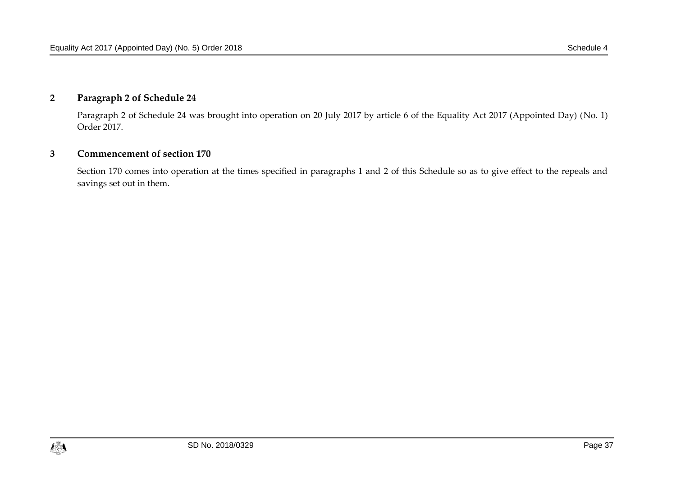# **2 Paragraph 2 of Schedule 24**

Paragraph 2 of Schedule 24 was brought into operation on 20 July 2017 by article 6 of the Equality Act 2017 (Appointed Day) (No. 1) Order 2017.

#### **3 Commencement of section 170**

Section 170 comes into operation at the times specified in paragraphs 1 and 2 of this Schedule so as to give effect to the repeals and savings set out in them.